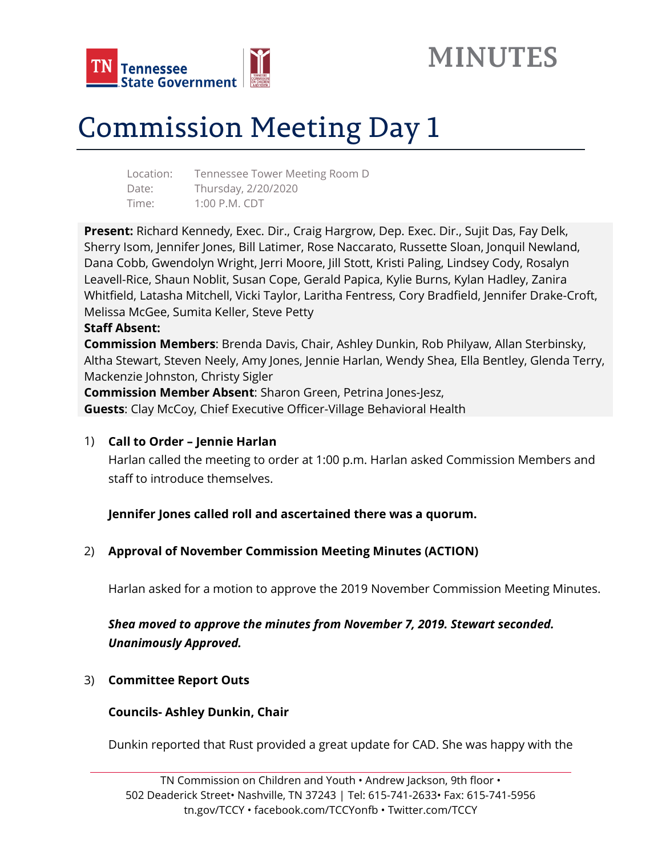



# Commission Meeting Day 1

| Location: | Tennessee Tower Meeting Room D |
|-----------|--------------------------------|
| Date:     | Thursday, 2/20/2020            |
| Time:     | $1:00$ P.M. CDT                |

**Present:** Richard Kennedy, Exec. Dir., Craig Hargrow, Dep. Exec. Dir., Sujit Das, Fay Delk, Sherry Isom, Jennifer Jones, Bill Latimer, Rose Naccarato, Russette Sloan, Jonquil Newland, Dana Cobb, Gwendolyn Wright, Jerri Moore, Jill Stott, Kristi Paling, Lindsey Cody, Rosalyn Leavell-Rice, Shaun Noblit, Susan Cope, Gerald Papica, Kylie Burns, Kylan Hadley, Zanira Whitfield, Latasha Mitchell, Vicki Taylor, Laritha Fentress, Cory Bradfield, Jennifer Drake-Croft, Melissa McGee, Sumita Keller, Steve Petty

#### **Staff Absent:**

**Commission Members**: Brenda Davis, Chair, Ashley Dunkin, Rob Philyaw, Allan Sterbinsky, Altha Stewart, Steven Neely, Amy Jones, Jennie Harlan, Wendy Shea, Ella Bentley, Glenda Terry, Mackenzie Johnston, Christy Sigler

**Commission Member Absent**: Sharon Green, Petrina Jones-Jesz, **Guests**: Clay McCoy, Chief Executive Officer-Village Behavioral Health

## 1) **Call to Order – Jennie Harlan**

Harlan called the meeting to order at 1:00 p.m. Harlan asked Commission Members and staff to introduce themselves.

**Jennifer Jones called roll and ascertained there was a quorum.** 

## 2) **Approval of November Commission Meeting Minutes (ACTION)**

Harlan asked for a motion to approve the 2019 November Commission Meeting Minutes.

## *Shea moved to approve the minutes from November 7, 2019. Stewart seconded. Unanimously Approved.*

## 3) **Committee Report Outs**

## **Councils- Ashley Dunkin, Chair**

Dunkin reported that Rust provided a great update for CAD. She was happy with the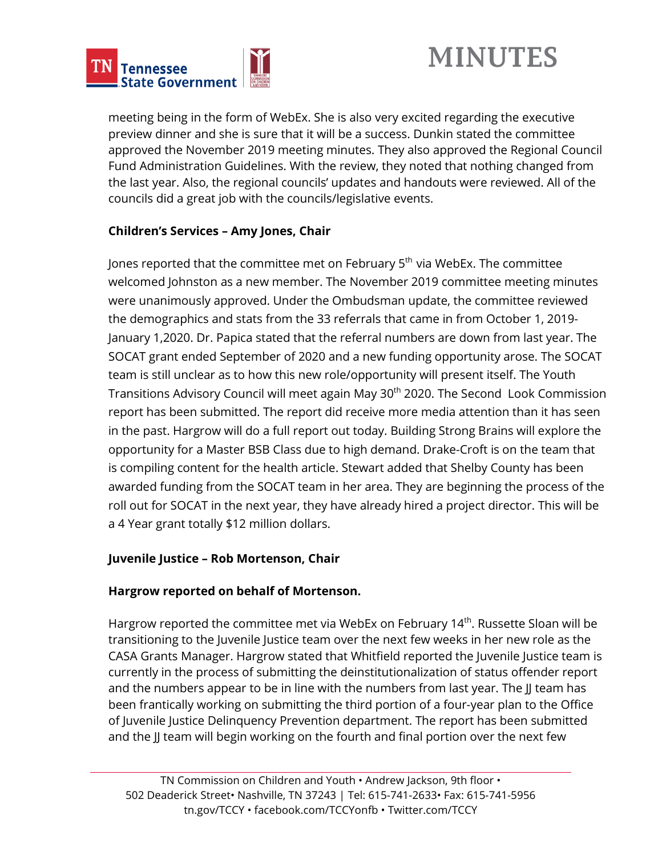

## **MINUTES**

meeting being in the form of WebEx. She is also very excited regarding the executive preview dinner and she is sure that it will be a success. Dunkin stated the committee approved the November 2019 meeting minutes. They also approved the Regional Council Fund Administration Guidelines. With the review, they noted that nothing changed from the last year. Also, the regional councils' updates and handouts were reviewed. All of the councils did a great job with the councils/legislative events.

## **Children's Services – Amy Jones, Chair**

Jones reported that the committee met on February 5<sup>th</sup> via WebEx. The committee welcomed Johnston as a new member. The November 2019 committee meeting minutes were unanimously approved. Under the Ombudsman update, the committee reviewed the demographics and stats from the 33 referrals that came in from October 1, 2019- January 1,2020. Dr. Papica stated that the referral numbers are down from last year. The SOCAT grant ended September of 2020 and a new funding opportunity arose. The SOCAT team is still unclear as to how this new role/opportunity will present itself. The Youth Transitions Advisory Council will meet again May 30<sup>th</sup> 2020. The Second Look Commission report has been submitted. The report did receive more media attention than it has seen in the past. Hargrow will do a full report out today. Building Strong Brains will explore the opportunity for a Master BSB Class due to high demand. Drake-Croft is on the team that is compiling content for the health article. Stewart added that Shelby County has been awarded funding from the SOCAT team in her area. They are beginning the process of the roll out for SOCAT in the next year, they have already hired a project director. This will be a 4 Year grant totally \$12 million dollars.

## **Juvenile Justice – Rob Mortenson, Chair**

## **Hargrow reported on behalf of Mortenson.**

Hargrow reported the committee met via WebEx on February 14<sup>th</sup>. Russette Sloan will be transitioning to the Juvenile Justice team over the next few weeks in her new role as the CASA Grants Manager. Hargrow stated that Whitfield reported the Juvenile Justice team is currently in the process of submitting the deinstitutionalization of status offender report and the numbers appear to be in line with the numbers from last year. The JJ team has been frantically working on submitting the third portion of a four-year plan to the Office of Juvenile Justice Delinquency Prevention department. The report has been submitted and the JJ team will begin working on the fourth and final portion over the next few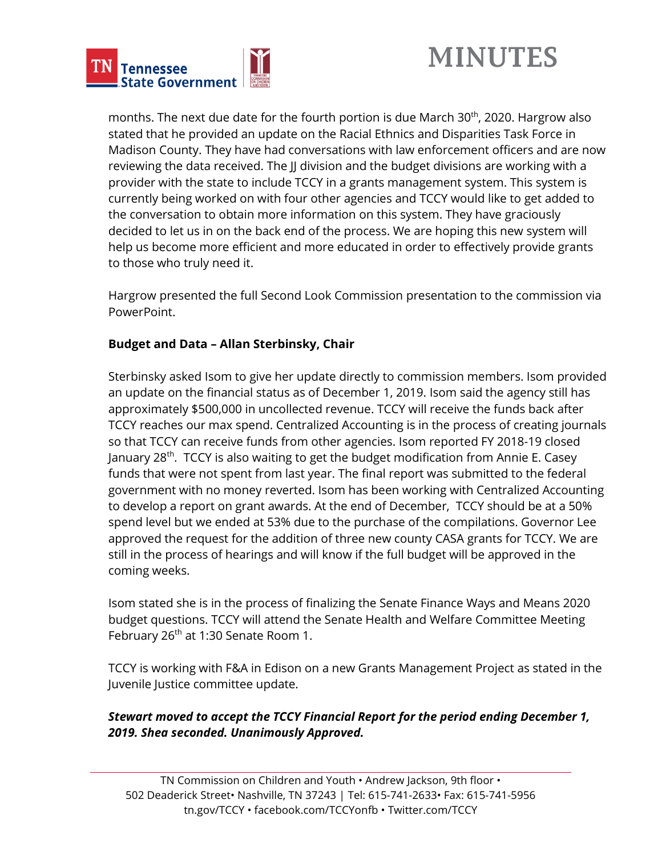



months. The next due date for the fourth portion is due March 30<sup>th</sup>, 2020. Hargrow also stated that he provided an update on the Racial Ethnics and Disparities Task Force in Madison County. They have had conversations with law enforcement officers and are now reviewing the data received. The JJ division and the budget divisions are working with a provider with the state to include TCCY in a grants management system. This system is currently being worked on with four other agencies and TCCY would like to get added to the conversation to obtain more information on this system. They have graciously decided to let us in on the back end of the process. We are hoping this new system will help us become more efficient and more educated in order to effectively provide grants to those who truly need it.

Hargrow presented the full Second Look Commission presentation to the commission via **PowerPoint** 

## **Budget and Data – Allan Sterbinsky, Chair**

Sterbinsky asked Isom to give her update directly to commission members. Isom provided an update on the financial status as of December 1, 2019. Isom said the agency still has approximately \$500,000 in uncollected revenue. TCCY will receive the funds back after TCCY reaches our max spend. Centralized Accounting is in the process of creating journals so that TCCY can receive funds from other agencies. Isom reported FY 2018-19 closed January 28<sup>th</sup>. TCCY is also waiting to get the budget modification from Annie E. Casey funds that were not spent from last year. The final report was submitted to the federal government with no money reverted. Isom has been working with Centralized Accounting to develop a report on grant awards. At the end of December, TCCY should be at a 50% spend level but we ended at 53% due to the purchase of the compilations. Governor Lee approved the request for the addition of three new county CASA grants for TCCY. We are still in the process of hearings and will know if the full budget will be approved in the coming weeks.

Isom stated she is in the process of finalizing the Senate Finance Ways and Means 2020 budget questions. TCCY will attend the Senate Health and Welfare Committee Meeting February 26<sup>th</sup> at 1:30 Senate Room 1.

TCCY is working with F&A in Edison on a new Grants Management Project as stated in the Juvenile Justice committee update.

## *Stewart moved to accept the TCCY Financial Report for the period ending December 1, 2019. Shea seconded. Unanimously Approved.*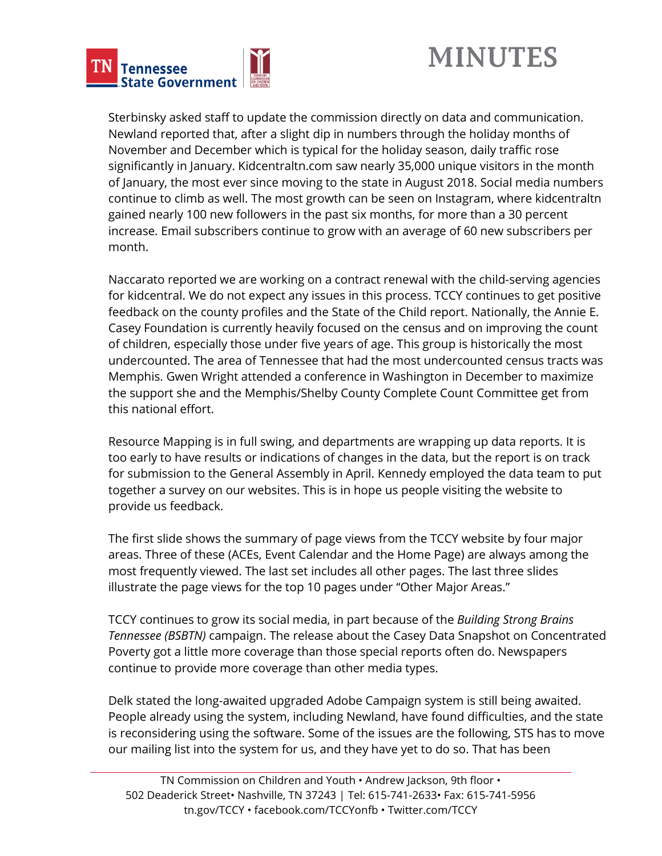



Sterbinsky asked staff to update the commission directly on data and communication. Newland reported that, after a slight dip in numbers through the holiday months of November and December which is typical for the holiday season, daily traffic rose significantly in January. Kidcentraltn.com saw nearly 35,000 unique visitors in the month of January, the most ever since moving to the state in August 2018. Social media numbers continue to climb as well. The most growth can be seen on Instagram, where kidcentraltn gained nearly 100 new followers in the past six months, for more than a 30 percent increase. Email subscribers continue to grow with an average of 60 new subscribers per month.

Naccarato reported we are working on a contract renewal with the child-serving agencies for kidcentral. We do not expect any issues in this process. TCCY continues to get positive feedback on the county profiles and the State of the Child report. Nationally, the Annie E. Casey Foundation is currently heavily focused on the census and on improving the count of children, especially those under five years of age. This group is historically the most undercounted. The area of Tennessee that had the most undercounted census tracts was Memphis. Gwen Wright attended a conference in Washington in December to maximize the support she and the Memphis/Shelby County Complete Count Committee get from this national effort.

Resource Mapping is in full swing, and departments are wrapping up data reports. It is too early to have results or indications of changes in the data, but the report is on track for submission to the General Assembly in April. Kennedy employed the data team to put together a survey on our websites. This is in hope us people visiting the website to provide us feedback.

The first slide shows the summary of page views from the TCCY website by four major areas. Three of these (ACEs, Event Calendar and the Home Page) are always among the most frequently viewed. The last set includes all other pages. The last three slides illustrate the page views for the top 10 pages under "Other Major Areas."

TCCY continues to grow its social media, in part because of the *Building Strong Brains Tennessee (BSBTN)* campaign. The release about the Casey Data Snapshot on Concentrated Poverty got a little more coverage than those special reports often do. Newspapers continue to provide more coverage than other media types.

Delk stated the long-awaited upgraded Adobe Campaign system is still being awaited. People already using the system, including Newland, have found difficulties, and the state is reconsidering using the software. Some of the issues are the following, STS has to move our mailing list into the system for us, and they have yet to do so. That has been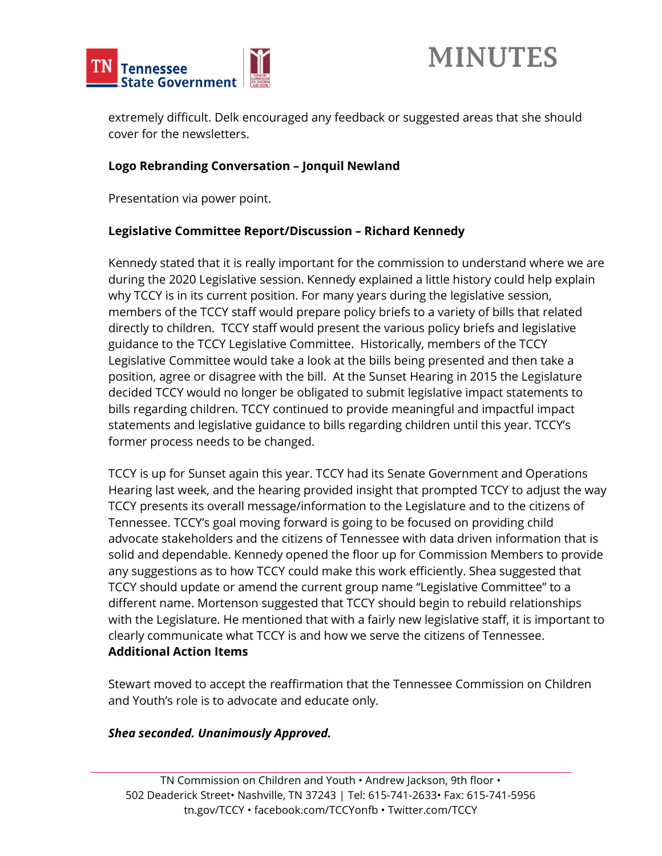



extremely difficult. Delk encouraged any feedback or suggested areas that she should cover for the newsletters.

#### **Logo Rebranding Conversation – Jonquil Newland**

Presentation via power point.

## **Legislative Committee Report/Discussion – Richard Kennedy**

Kennedy stated that it is really important for the commission to understand where we are during the 2020 Legislative session. Kennedy explained a little history could help explain why TCCY is in its current position. For many years during the legislative session, members of the TCCY staff would prepare policy briefs to a variety of bills that related directly to children. TCCY staff would present the various policy briefs and legislative guidance to the TCCY Legislative Committee. Historically, members of the TCCY Legislative Committee would take a look at the bills being presented and then take a position, agree or disagree with the bill. At the Sunset Hearing in 2015 the Legislature decided TCCY would no longer be obligated to submit legislative impact statements to bills regarding children. TCCY continued to provide meaningful and impactful impact statements and legislative guidance to bills regarding children until this year. TCCY's former process needs to be changed.

TCCY is up for Sunset again this year. TCCY had its Senate Government and Operations Hearing last week, and the hearing provided insight that prompted TCCY to adjust the way TCCY presents its overall message/information to the Legislature and to the citizens of Tennessee. TCCY's goal moving forward is going to be focused on providing child advocate stakeholders and the citizens of Tennessee with data driven information that is solid and dependable. Kennedy opened the floor up for Commission Members to provide any suggestions as to how TCCY could make this work efficiently. Shea suggested that TCCY should update or amend the current group name "Legislative Committee" to a different name. Mortenson suggested that TCCY should begin to rebuild relationships with the Legislature. He mentioned that with a fairly new legislative staff, it is important to clearly communicate what TCCY is and how we serve the citizens of Tennessee. **Additional Action Items**

Stewart moved to accept the reaffirmation that the Tennessee Commission on Children and Youth's role is to advocate and educate only.

#### *Shea seconded. Unanimously Approved.*